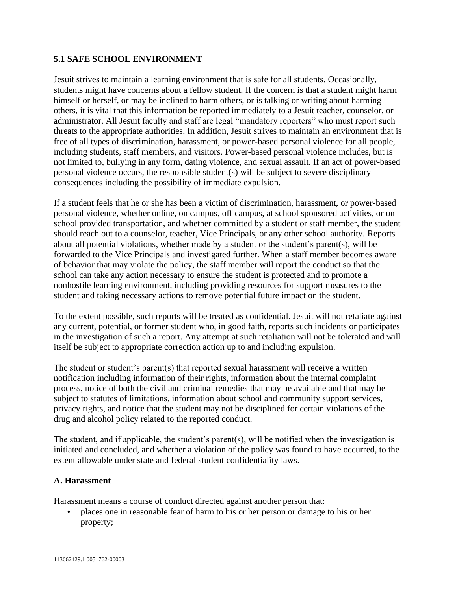## **5.1 SAFE SCHOOL ENVIRONMENT**

Jesuit strives to maintain a learning environment that is safe for all students. Occasionally, students might have concerns about a fellow student. If the concern is that a student might harm himself or herself, or may be inclined to harm others, or is talking or writing about harming others, it is vital that this information be reported immediately to a Jesuit teacher, counselor, or administrator. All Jesuit faculty and staff are legal "mandatory reporters" who must report such threats to the appropriate authorities. In addition, Jesuit strives to maintain an environment that is free of all types of discrimination, harassment, or power-based personal violence for all people, including students, staff members, and visitors. Power-based personal violence includes, but is not limited to, bullying in any form, dating violence, and sexual assault. If an act of power-based personal violence occurs, the responsible student(s) will be subject to severe disciplinary consequences including the possibility of immediate expulsion.

If a student feels that he or she has been a victim of discrimination, harassment, or power-based personal violence, whether online, on campus, off campus, at school sponsored activities, or on school provided transportation, and whether committed by a student or staff member, the student should reach out to a counselor, teacher, Vice Principals, or any other school authority. Reports about all potential violations, whether made by a student or the student's parent(s), will be forwarded to the Vice Principals and investigated further. When a staff member becomes aware of behavior that may violate the policy, the staff member will report the conduct so that the school can take any action necessary to ensure the student is protected and to promote a nonhostile learning environment, including providing resources for support measures to the student and taking necessary actions to remove potential future impact on the student.

To the extent possible, such reports will be treated as confidential. Jesuit will not retaliate against any current, potential, or former student who, in good faith, reports such incidents or participates in the investigation of such a report. Any attempt at such retaliation will not be tolerated and will itself be subject to appropriate correction action up to and including expulsion.

The student or student's parent(s) that reported sexual harassment will receive a written notification including information of their rights, information about the internal complaint process, notice of both the civil and criminal remedies that may be available and that may be subject to statutes of limitations, information about school and community support services, privacy rights, and notice that the student may not be disciplined for certain violations of the drug and alcohol policy related to the reported conduct.

The student, and if applicable, the student's parent(s), will be notified when the investigation is initiated and concluded, and whether a violation of the policy was found to have occurred, to the extent allowable under state and federal student confidentiality laws.

## **A. Harassment**

Harassment means a course of conduct directed against another person that:

• places one in reasonable fear of harm to his or her person or damage to his or her property;